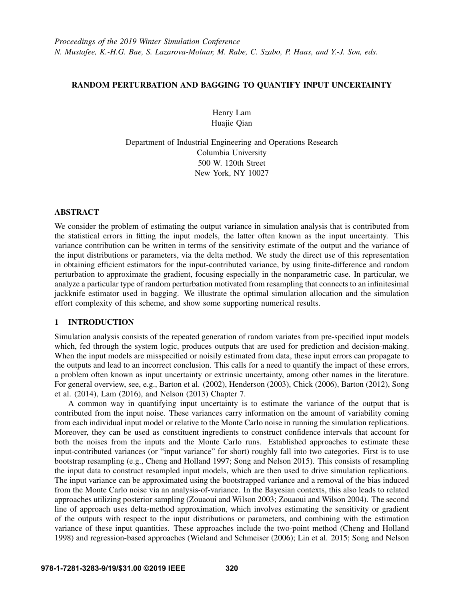# RANDOM PERTURBATION AND BAGGING TO QUANTIFY INPUT UNCERTAINTY

Henry Lam Huajie Qian

Department of Industrial Engineering and Operations Research Columbia University 500 W. 120th Street New York, NY 10027

# ABSTRACT

We consider the problem of estimating the output variance in simulation analysis that is contributed from the statistical errors in fitting the input models, the latter often known as the input uncertainty. This variance contribution can be written in terms of the sensitivity estimate of the output and the variance of the input distributions or parameters, via the delta method. We study the direct use of this representation in obtaining efficient estimators for the input-contributed variance, by using finite-difference and random perturbation to approximate the gradient, focusing especially in the nonparametric case. In particular, we analyze a particular type of random perturbation motivated from resampling that connects to an infinitesimal jackknife estimator used in bagging. We illustrate the optimal simulation allocation and the simulation effort complexity of this scheme, and show some supporting numerical results.

# 1 INTRODUCTION

Simulation analysis consists of the repeated generation of random variates from pre-specified input models which, fed through the system logic, produces outputs that are used for prediction and decision-making. When the input models are misspecified or noisily estimated from data, these input errors can propagate to the outputs and lead to an incorrect conclusion. This calls for a need to quantify the impact of these errors, a problem often known as input uncertainty or extrinsic uncertainty, among other names in the literature. For general overview, see, e.g., [Barton et al. \(2002\),](#page-10-0) [Henderson \(2003\),](#page-10-1) [Chick \(2006\),](#page-10-2) [Barton \(2012\),](#page-10-3) [Song](#page-11-0) [et al. \(2014\),](#page-11-0) [Lam \(2016\),](#page-10-4) and [Nelson \(2013\)](#page-10-5) Chapter 7.

A common way in quantifying input uncertainty is to estimate the variance of the output that is contributed from the input noise. These variances carry information on the amount of variability coming from each individual input model or relative to the Monte Carlo noise in running the simulation replications. Moreover, they can be used as constituent ingredients to construct confidence intervals that account for both the noises from the inputs and the Monte Carlo runs. Established approaches to estimate these input-contributed variances (or "input variance" for short) roughly fall into two categories. First is to use bootstrap resampling (e.g., [Cheng and Holland 1997;](#page-10-6) [Song and Nelson 2015\)](#page-10-7). This consists of resampling the input data to construct resampled input models, which are then used to drive simulation replications. The input variance can be approximated using the bootstrapped variance and a removal of the bias induced from the Monte Carlo noise via an analysis-of-variance. In the Bayesian contexts, this also leads to related approaches utilizing posterior sampling [\(Zouaoui and Wilson 2003;](#page-11-1) [Zouaoui and Wilson 2004\)](#page-11-2). The second line of approach uses delta-method approximation, which involves estimating the sensitivity or gradient of the outputs with respect to the input distributions or parameters, and combining with the estimation variance of these input quantities. These approaches include the two-point method [\(Cheng and Holland](#page-10-8) [1998\)](#page-10-8) and regression-based approaches [\(Wieland and Schmeiser \(2006\);](#page-11-3) [Lin et al. 2015;](#page-10-9) [Song and Nelson](#page-11-4)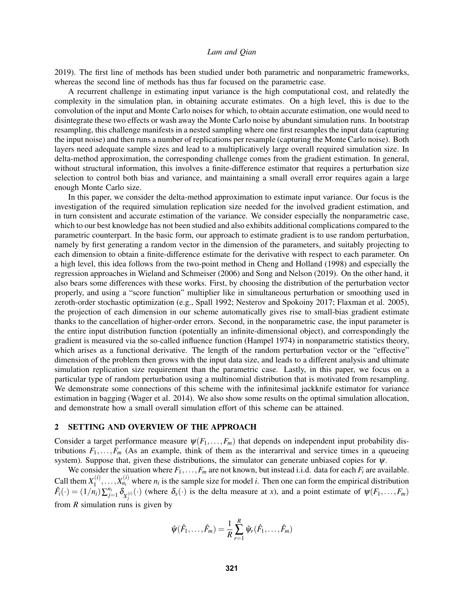[2019\)](#page-11-4). The first line of methods has been studied under both parametric and nonparametric frameworks, whereas the second line of methods has thus far focused on the parametric case.

A recurrent challenge in estimating input variance is the high computational cost, and relatedly the complexity in the simulation plan, in obtaining accurate estimates. On a high level, this is due to the convolution of the input and Monte Carlo noises for which, to obtain accurate estimation, one would need to disintegrate these two effects or wash away the Monte Carlo noise by abundant simulation runs. In bootstrap resampling, this challenge manifests in a nested sampling where one first resamples the input data (capturing the input noise) and then runs a number of replications per resample (capturing the Monte Carlo noise). Both layers need adequate sample sizes and lead to a multiplicatively large overall required simulation size. In delta-method approximation, the corresponding challenge comes from the gradient estimation. In general, without structural information, this involves a finite-difference estimator that requires a perturbation size selection to control both bias and variance, and maintaining a small overall error requires again a large enough Monte Carlo size.

In this paper, we consider the delta-method approximation to estimate input variance. Our focus is the investigation of the required simulation replication size needed for the involved gradient estimation, and in turn consistent and accurate estimation of the variance. We consider especially the nonparametric case, which to our best knowledge has not been studied and also exhibits additional complications compared to the parametric counterpart. In the basic form, our approach to estimate gradient is to use random perturbation, namely by first generating a random vector in the dimension of the parameters, and suitably projecting to each dimension to obtain a finite-difference estimate for the derivative with respect to each parameter. On a high level, this idea follows from the two-point method in [Cheng and Holland \(1998\)](#page-10-8) and especially the regression approaches in [Wieland and Schmeiser \(2006\)](#page-11-3) and [Song and Nelson \(2019\).](#page-11-4) On the other hand, it also bears some differences with these works. First, by choosing the distribution of the perturbation vector properly, and using a "score function" multiplier like in simultaneous perturbation or smoothing used in zeroth-order stochastic optimization (e.g., [Spall 1992;](#page-11-5) [Nesterov and Spokoiny 2017;](#page-10-10) [Flaxman et al. 2005\)](#page-10-11), the projection of each dimension in our scheme automatically gives rise to small-bias gradient estimate thanks to the cancellation of higher-order errors. Second, in the nonparametric case, the input parameter is the entire input distribution function (potentially an infinite-dimensional object), and correspondingly the gradient is measured via the so-called influence function [\(Hampel 1974\)](#page-10-12) in nonparametric statistics theory, which arises as a functional derivative. The length of the random perturbation vector or the "effective" dimension of the problem then grows with the input data size, and leads to a different analysis and ultimate simulation replication size requirement than the parametric case. Lastly, in this paper, we focus on a particular type of random perturbation using a multinomial distribution that is motivated from resampling. We demonstrate some connections of this scheme with the infinitesimal jackknife estimator for variance estimation in bagging [\(Wager et al. 2014\)](#page-11-6). We also show some results on the optimal simulation allocation, and demonstrate how a small overall simulation effort of this scheme can be attained.

# 2 SETTING AND OVERVIEW OF THE APPROACH

Consider a target performance measure  $\psi(F_1,\ldots,F_m)$  that depends on independent input probability distributions  $F_1, \ldots, F_m$  (As an example, think of them as the interarrival and service times in a queueing system). Suppose that, given these distributions, the simulator can generate unbiased copies for  $\psi$ .

We consider the situation where  $F_1, \ldots, F_m$  are not known, but instead i.i.d. data for each  $F_i$  are available. Call them  $X_1^{(i)}$  $X_1^{(i)}, \ldots, X_{n_i}^{(i)}$  where  $n_i$  is the sample size for model *i*. Then one can form the empirical distribution  $\hat{F}_i(\cdot) = (1/n_i) \sum_{j=1}^{n_i} \delta_{X_j^{(i)}}(\cdot)$  (where  $\delta_x(\cdot)$  is the delta measure at *x*), and a point estimate of  $\psi(F_1,\ldots,F_m)$ from *R* simulation runs is given by

$$
\hat{\psi}(\hat{F}_1,\ldots,\hat{F}_m)=\frac{1}{R}\sum_{r=1}^R\hat{\psi}_r(\hat{F}_1,\ldots,\hat{F}_m)
$$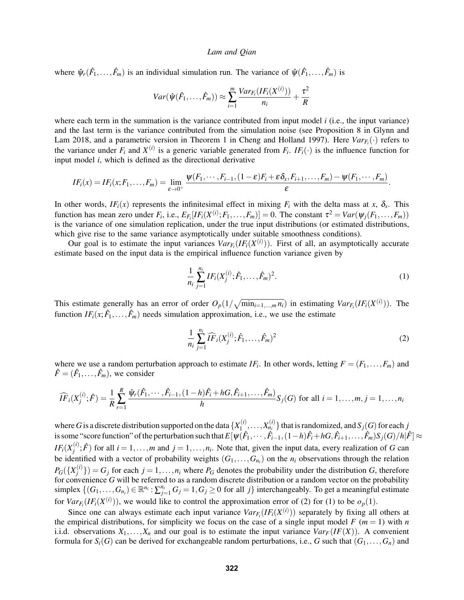where  $\hat{\psi}_r(\hat{F}_1,\ldots,\hat{F}_m)$  is an individual simulation run. The variance of  $\hat{\psi}(\hat{F}_1,\ldots,\hat{F}_m)$  is

$$
Var(\hat{\psi}(\hat{F}_1,\ldots,\hat{F}_m)) \approx \sum_{i=1}^m \frac{Var_{F_i}(IF_i(X^{(i)}))}{n_i} + \frac{\tau^2}{R}
$$

where each term in the summation is the variance contributed from input model  $i$  (i.e., the input variance) and the last term is the variance contributed from the simulation noise (see Proposition 8 in [Glynn and](#page-10-13) [Lam 2018,](#page-10-13) and a parametric version in Theorem 1 in [Cheng and Holland 1997\)](#page-10-6). Here  $Var_{F_i}(\cdot)$  refers to the variance under  $F_i$  and  $X^{(i)}$  is a generic variable generated from  $F_i$ .  $IF_i(\cdot)$  is the influence function for input model *i*, which is defined as the directional derivative

$$
IF_i(x) = IF_i(x; F_1, \ldots, F_m) = \lim_{\varepsilon \to 0^+} \frac{\psi(F_1, \cdots, F_{i-1}, (1-\varepsilon)F_i + \varepsilon \delta_x, F_{i+1}, \ldots, F_m) - \psi(F_1, \cdots, F_m)}{\varepsilon}.
$$

In other words,  $IF_i(x)$  represents the infinitesimal effect in mixing  $F_i$  with the delta mass at *x*,  $\delta_x$ . This function has mean zero under  $F_i$ , i.e.,  $E_{F_i}[IF_i(X^{(i)};F_1,\ldots,F_m)]=0$ . The constant  $\tau^2=Var(\psi_j(F_1,\ldots,F_m))$ is the variance of one simulation replication, under the true input distributions (or estimated distributions, which give rise to the same variance asymptotically under suitable smoothness conditions).

Our goal is to estimate the input variances  $Var_{F_i}(IF_i(X^{(i)}))$ . First of all, an asymptotically accurate estimate based on the input data is the empirical influence function variance given by

<span id="page-2-1"></span>
$$
\frac{1}{n_i} \sum_{j=1}^{n_i} IF_i(X_j^{(i)}; \hat{F}_1, \dots, \hat{F}_m)^2.
$$
\n(1)

This estimate generally has an error of order  $O_p(1/\sqrt{\min_{i=1,\dots,m} n_i})$  in estimating  $Var_{F_i}(IF_i(X^{(i)}))$ . The function  $IF_i(x; \hat{F}_1, \ldots, \hat{F}_m)$  needs simulation approximation, i.e., we use the estimate

<span id="page-2-0"></span>
$$
\frac{1}{n_i} \sum_{j=1}^{n_i} \widehat{IF}_i(X_j^{(i)}; \hat{F}_1, \dots, \hat{F}_m)^2
$$
\n(2)

where we use a random perturbation approach to estimate  $IF_i$ . In other words, letting  $F = (F_1, \ldots, F_m)$  and  $\hat{F} = (\hat{F}_1, \dots, \hat{F}_m)$ , we consider

$$
\widehat{IF}_{i}(X_{j}^{(i)}; \hat{F}) = \frac{1}{R} \sum_{r=1}^{R} \frac{\hat{\psi}_{r}(\hat{F}_{1}, \cdots, \hat{F}_{i-1}, (1-h)\hat{F}_{i} + hG, \hat{F}_{i+1}, \dots, \hat{F}_{m})}{h} S_{j}(G) \text{ for all } i = 1, \dots, m, j = 1, \dots, n_{i}
$$

where *G* is a discrete distribution supported on the data  $\{X_1^{(i)}\}$  $\{X_{n_i}^{(i)}, \ldots, X_{n_i}^{(i)}\}$  that is randomized, and  $S_j(G)$  for each *j* is some "score function" of the perturbation such that  $E[\psi(\hat{F}_1,\cdots,\hat{F}_{i-1},(1-h)\hat{F}_i+hG,\hat{F}_{i+1},\dots,\hat{F}_m)S_j(G)/h|\hat{F}] \approx$  $IF_i(X_i^{(i)}$  $j^{(i)}$ ;  $\hat{F}$ ) for all  $i = 1, ..., m$  and  $j = 1, ..., n_i$ . Note that, given the input data, every realization of *G* can be identified with a vector of probability weights  $(G_1, \ldots, G_{n_i})$  on the  $n_i$  observations through the relation  $P_G(\lbrace X^{(i)}_i \rbrace)$  $\binom{v}{j}$  = *G<sub>j</sub>* for each *j* = 1,...,*n<sub>i</sub>* where *P<sub>G</sub>* denotes the probability under the distribution *G*, therefore for convenience *G* will be referred to as a random discrete distribution or a random vector on the probability simplex  $\{(G_1, \ldots, G_{n_i}) \in \mathbb{R}^{n_i} : \sum_{j=1}^{n_i} G_j = 1, G_j \ge 0 \text{ for all } j\}$  interchangeably. To get a meaningful estimate for  $Var_{F_i}(IF_i(X^{(i)}))$ , we would like to control the approximation error of [\(2\)](#page-2-0) for [\(1\)](#page-2-1) to be  $o_p(1)$ .

Since one can always estimate each input variance  $Var_{F_i}(IF_i(X^{(i)}))$  separately by fixing all others at the empirical distributions, for simplicity we focus on the case of a single input model  $F$  ( $m = 1$ ) with  $n$ i.i.d. observations  $X_1, \ldots, X_n$  and our goal is to estimate the input variance  $Var_F(IF(X))$ . A convenient formula for  $S_i(G)$  can be derived for exchangeable random perturbations, i.e., *G* such that  $(G_1, \ldots, G_n)$  and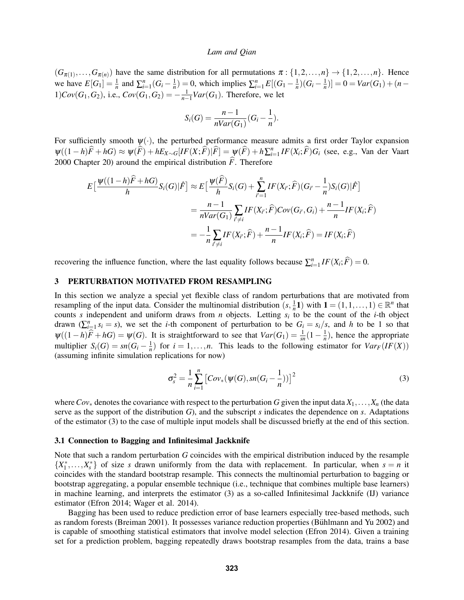$(G_{\pi(1)},...,G_{\pi(n)})$  have the same distribution for all permutations  $\pi:\{1,2,...,n\} \to \{1,2,...,n\}$ . Hence we have  $E[G_1] = \frac{1}{n}$  and  $\sum_{i=1}^{n} (G_i - \frac{1}{n}) = 0$ , which implies  $\sum_{i=1}^{n} E[(G_1 - \frac{1}{n})(G_i - \frac{1}{n})] = 0 = Var(G_1) + (n - \frac{1}{n})$ 1) $Cov(G_1, G_2)$ , i.e.,  $Cov(G_1, G_2) = -\frac{1}{n-1}Var(G_1)$ . Therefore, we let

$$
S_i(G) = \frac{n-1}{nVar(G_1)}(G_i - \frac{1}{n}).
$$

For sufficiently smooth  $\psi(\cdot)$ , the perturbed performance measure admits a first order Taylor expansion  $\psi((1-h)\widehat{F}+hG) \approx \psi(\widehat{F})+hE_{X\sim G}[IF(X;\widehat{F})|\widehat{F}] = \psi(\widehat{F})+h\sum_{i=1}^{n}IF(X_{i};\widehat{F})G_{i}$  (see, e.g., [Van der Vaart](#page-11-7) [2000](#page-11-7) Chapter 20) around the empirical distribution  $\hat{F}$ . Therefore

$$
E\left[\frac{\Psi((1-h)\widehat{F}+hG)}{h}S_i(G)|\widehat{F}\right] \approx E\left[\frac{\Psi(\widehat{F})}{h}S_i(G)+\sum_{i'=1}^n IF(X_{i'};\widehat{F})(G_{i'}-\frac{1}{n})S_i(G)|\widehat{F}\right]
$$
  

$$
=\frac{n-1}{nVar(G_1)}\sum_{i'\neq i}IF(X_{i'};\widehat{F})Cov(G_{i'},G_i)+\frac{n-1}{n}IF(X_i;\widehat{F})
$$
  

$$
=-\frac{1}{n}\sum_{i'\neq i}IF(X_{i'};\widehat{F})+\frac{n-1}{n}IF(X_i;\widehat{F})=IF(X_i;\widehat{F})
$$

recovering the influence function, where the last equality follows because  $\sum_{i=1}^{n} IF(X_i; \widehat{F}) = 0$ .

## 3 PERTURBATION MOTIVATED FROM RESAMPLING

In this section we analyze a special yet flexible class of random perturbations that are motivated from resampling of the input data. Consider the multinomial distribution  $(s, \frac{1}{n}1)$  with  $1 = (1, 1, ..., 1) \in \mathbb{R}^n$  that counts *s* independent and uniform draws from *n* objects. Letting *s<sup>i</sup>* to be the count of the *i*-th object drawn  $(\sum_{i=1}^{n} s_i = s)$ , we set the *i*-th component of perturbation to be  $G_i = s_i/s$ , and *h* to be 1 so that  $\psi((1-h)\widehat{F}+hG)=\psi(G)$ . It is straightforward to see that  $Var(G_1)=\frac{1}{sn}(1-\frac{1}{n})$ , hence the appropriate multiplier  $S_i(G) = sn(G_i - \frac{1}{n})$  for  $i = 1, ..., n$ . This leads to the following estimator for  $Var_F(IF(X))$ (assuming infinite simulation replications for now)

<span id="page-3-0"></span>
$$
\sigma_s^2 = \frac{1}{n} \sum_{i=1}^n \left[ Cov_*(\psi(G), sn(G_i - \frac{1}{n})) \right]^2
$$
 (3)

where  $Cov_*$  denotes the covariance with respect to the perturbation *G* given the input data  $X_1, \ldots, X_n$  (the data serve as the support of the distribution *G*), and the subscript *s* indicates the dependence on *s*. Adaptations of the estimator [\(3\)](#page-3-0) to the case of multiple input models shall be discussed briefly at the end of this section.

## 3.1 Connection to Bagging and Infinitesimal Jackknife

Note that such a random perturbation *G* coincides with the empirical distribution induced by the resample  $\{X_1^*, \ldots, X_s^*\}$  of size *s* drawn uniformly from the data with replacement. In particular, when  $s = n$  it coincides with the standard bootstrap resample. This connects the multinomial perturbation to bagging or bootstrap aggregating, a popular ensemble technique (i.e., technique that combines multiple base learners) in machine learning, and interprets the estimator [\(3\)](#page-3-0) as a so-called Infinitesimal Jackknife (IJ) variance estimator [\(Efron 2014;](#page-10-14) [Wager et al. 2014\)](#page-11-6).

Bagging has been used to reduce prediction error of base learners especially tree-based methods, such as random forests [\(Breiman 2001\)](#page-10-15). It possesses variance reduction properties (Bühlmann and Yu 2002) and is capable of smoothing statistical estimators that involve model selection [\(Efron 2014\)](#page-10-14). Given a training set for a prediction problem, bagging repeatedly draws bootstrap resamples from the data, trains a base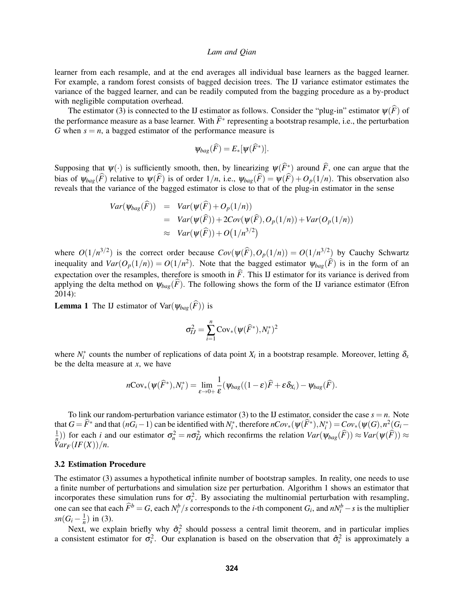learner from each resample, and at the end averages all individual base learners as the bagged learner. For example, a random forest consists of bagged decision trees. The IJ variance estimator estimates the variance of the bagged learner, and can be readily computed from the bagging procedure as a by-product with negligible computation overhead.

The estimator [\(3\)](#page-3-0) is connected to the IJ estimator as follows. Consider the "plug-in" estimator  $\psi(\widehat{F})$  of the performance measure as a base learner. With  $\hat{F}^*$  representing a bootstrap resample, i.e., the perturbation *G* when  $s = n$ , a bagged estimator of the performance measure is

$$
\psi_{bag}(\widehat{F})=E_*[\psi(\widehat{F}^*)].
$$

Supposing that  $\psi(\cdot)$  is sufficiently smooth, then, by linearizing  $\psi(\widehat{F}^*)$  around  $\widehat{F}$ , one can argue that the bias of  $\psi_{bag}(F)$  relative to  $\psi(F)$  is of order  $1/n$ , i.e.,  $\psi_{bag}(F) = \psi(F) + O_p(1/n)$ . This observation also reveals that the variance of the bagged estimator is close to that of the plug-in estimator in the sense

$$
Var(\psi_{bag}(\widehat{F})) = Var(\psi(\widehat{F}) + O_p(1/n))
$$
  
= Var(\psi(\widehat{F})) + 2Cov(\psi(\widehat{F}), O\_p(1/n)) + Var(O\_p(1/n))  

$$
\approx Var(\psi(\widehat{F})) + O(1/n^{3/2})
$$

where  $O(1/n^{3/2})$  is the correct order because  $Cov(\psi(\widehat{F}), O_p(1/n)) = O(1/n^{3/2})$  by Cauchy Schwartz inequality and  $Var(O_p(1/n)) = O(1/n^2)$ . Note that the bagged estimator  $\psi_{bag}(\widehat{F})$  is in the form of an expectation over the resamples, therefore is smooth in  $\hat{F}$ . This IJ estimator for its variance is derived from applying the delta method on  $\psi_{bag}(\hat{F})$ . The following shows the form of the IJ variance estimator [\(Efron](#page-10-14) [2014\)](#page-10-14):

**Lemma 1** The IJ estimator of Var $(\psi_{bag}(\widehat{F}))$  is

$$
\sigma_{IJ}^2 = \sum_{i=1}^n \mathrm{Cov}_*(\psi(\widehat{F}^*), N_i^*)^2
$$

where  $N_i^*$  counts the number of replications of data point  $X_i$  in a bootstrap resample. Moreover, letting  $\delta_x$ be the delta measure at *x*, we have

$$
n\text{Cov}_*(\psi(\widehat{F}^*), N_i^*) = \lim_{\varepsilon \to 0+} \frac{1}{\varepsilon} (\psi_{bag}((1-\varepsilon)\widehat{F} + \varepsilon \delta_{X_i}) - \psi_{bag}(\widehat{F}).
$$

To link our random-perturbation variance estimator [\(3\)](#page-3-0) to the IJ estimator, consider the case  $s = n$ . Note that  $G = \widehat{F}^*$  and that  $(nG_i - 1)$  can be identified with  $N_i^*$ , therefore  $nCov_*(\psi(\widehat{F}^*), N_i^*) = Cov_*(\psi(G), n^2(G_i - 1))$  $\frac{1}{n}$ )) for each *i* and our estimator  $\sigma_n^2 = n\sigma_{IJ}^2$  which reconfirms the relation  $Var(\psi_{bag}(\widehat{F})) \approx Var(\psi(\widehat{F})) \approx$  $Var_F(IF(X))/n$ .

## 3.2 Estimation Procedure

The estimator [\(3\)](#page-3-0) assumes a hypothetical infinite number of bootstrap samples. In reality, one needs to use a finite number of perturbations and simulation size per perturbation. Algorithm [1](#page-5-0) shows an estimator that incorporates these simulation runs for  $\sigma_s^2$ . By associating the multinomial perturbation with resampling, one can see that each  $\hat{F}^b = G$ , each  $N_i^b/s$  corresponds to the *i*-th component  $G_i$ , and  $nN_i^b - s$  is the multiplier  $sn(G_i - \frac{1}{n})$  in [\(3\)](#page-3-0).

Next, we explain briefly why  $\hat{\sigma}_s^2$  should possess a central limit theorem, and in particular implies a consistent estimator for  $\sigma_s^2$ . Our explanation is based on the observation that  $\hat{\sigma}_s^2$  is approximately a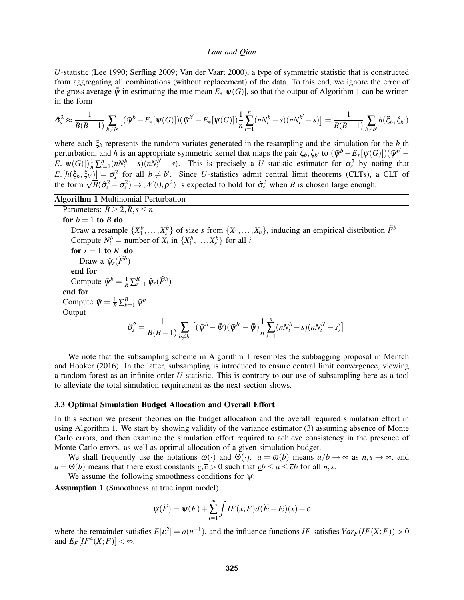*U*-statistic [\(Lee 1990;](#page-10-17) [Serfling 2009;](#page-10-18) [Van der Vaart 2000\)](#page-11-7), a type of symmetric statistic that is constructed from aggregating all combinations (without replacement) of the data. To this end, we ignore the error of the gross average  $\bar{\bar{\psi}}$  in estimating the true mean  $E_*[\psi(G)]$ , so that the output of Algorithm [1](#page-5-0) can be written in the form

$$
\hat{\sigma}_s^2 \approx \frac{1}{B(B-1)} \sum_{b \neq b'} \left[ (\bar{\psi}^b - E_*[\psi(G)])(\bar{\psi}^{b'} - E_*[\psi(G)] \right) \frac{1}{n} \sum_{i=1}^n (nN_i^b - s)(nN_i^{b'} - s) \right] = \frac{1}{B(B-1)} \sum_{b \neq b'} h(\xi_b, \xi_{b'})
$$

where each ξ*<sup>b</sup>* represents the random variates generated in the resampling and the simulation for the *b*-th perturbation, and *h* is an appropriate symmetric kernel that maps the pair  $\xi_b$ ,  $\xi_{b'}$  to  $(\bar{\psi}^b - E_*[\psi(G)])(\bar{\psi}^{b'} E_*[\psi(G)]\frac{1}{n}\sum_{i=1}^n (nN_i^b - s)(nN_i^{b'} - s)$ . This is precisely a *U*-statistic estimator for  $\sigma_s^2$  by noting that  $E_*[h(\xi_b,\xi_{b'})] = \sigma_s^2$  for all  $b \neq b'$ . Since *U*-statistics admit central limit theorems (CLTs), a CLT of  $\mathcal{L}_{*}[n(\varsigma_b, \varsigma_{b'}^{\prime})] = \mathbf{o}_s^{\top}$  for an  $b \neq b$ . Since *U*-statistics admit central limit theorems (CLTs), and the form  $\sqrt{B}(\hat{\sigma}_s^2 - \sigma_s^2) \rightarrow \mathcal{N}(0, \rho^2)$  is expected to hold for  $\hat{\sigma}_s^2$  when *B* is chosen lar

<span id="page-5-0"></span>Algorithm 1 Multinomial Perturbation

Parameters:  $B > 2, R, s \leq n$ for  $b = 1$  to  $B$  do Draw a resample  $\{X_1^b, \ldots, X_s^b\}$  of size *s* from  $\{X_1, \ldots, X_n\}$ , inducing an empirical distribution  $\widehat{F}^b$ Compute  $N_i^b$  = number of  $X_i$  in  $\{X_1^b, \ldots, X_s^b\}$  for all *i* for  $r = 1$  to  $R$  do Draw a  $\hat{\psi}_r(\widehat{F}^b)$ end for Compute  $\bar{\psi}^b = \frac{1}{R} \sum_{r=1}^R \hat{\psi}_r(\hat{F}^b)$ end for Compute  $\bar{\bar{\psi}} = \frac{1}{B} \sum_{b=1}^{B} \bar{\psi}^b$ **Output**  $\hat{\sigma}_s^2 = \frac{1}{B(B-1)}\sum\limits_{b\neq b'}$  $\bigl[ (\bar{\psi}^b-\bar{\bar{\psi}})(\bar{\psi}^{b'}-\bar{\bar{\psi}}) \bigr]_+^1$ *n n* ∑ *i*=1  $(nN_i^b - s)(nN_i^{b'} - s)]$ 

We note that the subsampling scheme in Algorithm [1](#page-5-0) resembles the subbagging proposal in [Mentch](#page-10-19) [and Hooker \(2016\).](#page-10-19) In the latter, subsampling is introduced to ensure central limit convergence, viewing a random forest as an infinite-order *U*-statistic. This is contrary to our use of subsampling here as a tool to alleviate the total simulation requirement as the next section shows.

## 3.3 Optimal Simulation Budget Allocation and Overall Effort

In this section we present theories on the budget allocation and the overall required simulation effort in using Algorithm [1.](#page-5-0) We start by showing validity of the variance estimator [\(3\)](#page-3-0) assuming absence of Monte Carlo errors, and then examine the simulation effort required to achieve consistency in the presence of Monte Carlo errors, as well as optimal allocation of a given simulation budget.

We shall frequently use the notations  $\omega(\cdot)$  and  $\Theta(\cdot)$ .  $a = \omega(b)$  means  $a/b \to \infty$  as  $n, s \to \infty$ , and  $a = \Theta(b)$  means that there exist constants  $c, \bar{c} > 0$  such that  $cb \le a \le \bar{c}b$  for all *n*,*s*.

We assume the following smoothness conditions for  $\psi$ :

<span id="page-5-1"></span>Assumption 1 (Smoothness at true input model)

$$
\psi(\widehat{F}) = \psi(F) + \sum_{i=1}^{m} \int IF(x;F)d(\widehat{F}_i - F_i)(x) + \varepsilon
$$

where the remainder satisfies  $E[\varepsilon^2] = o(n^{-1})$ , and the influence functions *IF* satisfies  $Var_F(IF(X;F)) > 0$ and  $E_F[IF^4(X;F)] < \infty$ .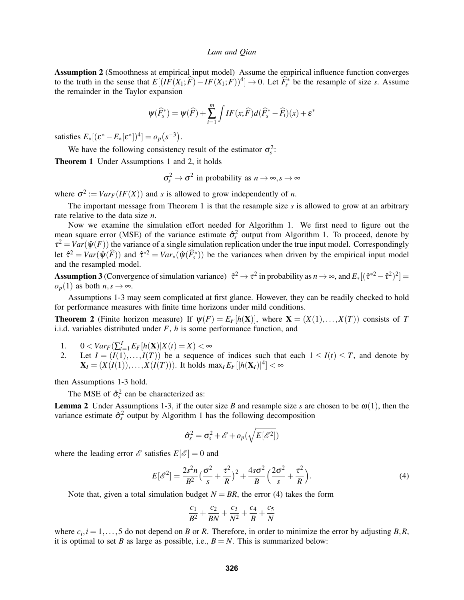<span id="page-6-0"></span>Assumption 2 (Smoothness at empirical input model) Assume the empirical influence function converges to the truth in the sense that  $E[(IF(X_1; \hat{F}) - IF(X_1; F))^4] \to 0$ . Let  $\hat{F}_s^*$  be the resample of size *s*. Assume the remainder in the Taylor expansion

$$
\Psi(\widehat{F}_s^*) = \Psi(\widehat{F}) + \sum_{i=1}^m \int IF(x;\widehat{F})d(\widehat{F}_s^* - \widehat{F}_i)(x) + \varepsilon^*
$$

satisfies  $E_*[(\varepsilon^* - E_*[\varepsilon^*])^4] = o_p(s^{-3}).$ 

We have the following consistency result of the estimator  $\sigma_s^2$ :

<span id="page-6-1"></span>Theorem 1 Under Assumptions [1](#page-5-1) and [2,](#page-6-0) it holds

 $\sigma_s^2 \to \sigma^2$  in probability as  $n \to \infty$ ,  $s \to \infty$ 

where  $\sigma^2 := Var_F(IF(X))$  and *s* is allowed to grow independently of *n*.

The important message from Theorem [1](#page-6-1) is that the resample size  $s$  is allowed to grow at an arbitrary rate relative to the data size *n*.

Now we examine the simulation effort needed for Algorithm [1.](#page-5-0) We first need to figure out the mean square error (MSE) of the variance estimate  $\hat{\sigma}_s^2$  output from Algorithm [1.](#page-5-0) To proceed, denote by  $\tau^2 = Var(\hat{\psi}(F))$  the variance of a single simulation replication under the true input model. Correspondingly let  $\hat{\tau}^2 = Var(\hat{\psi}(\hat{F}))$  and  $\hat{\tau}^{*2} = Var_*(\hat{\psi}(\hat{F}_s^*))$  be the variances when driven by the empirical input model and the resampled model.

<span id="page-6-2"></span>Assumption 3 (Convergence of simulation variance)  $\hat{\tau}^2 \to \tau^2$  in probability as  $n \to \infty$ , and  $E_*[(\hat{\tau}^{*2} - \hat{\tau}^2)^2] =$  $o_p(1)$  as both  $n, s \rightarrow \infty$ .

Assumptions [1-](#page-5-1)[3](#page-6-2) may seem complicated at first glance. However, they can be readily checked to hold for performance measures with finite time horizons under mild conditions.

<span id="page-6-4"></span>**Theorem 2** (Finite horizon measure) If  $\psi(F) = E_F[h(\mathbf{X})]$ , where  $\mathbf{X} = (X(1),...,X(T))$  consists of *T* i.i.d. variables distributed under *F*, *h* is some performance function, and

- 1.  $0 < Var_F(\sum_{t=1}^T E_F[h(\mathbf{X})|X(t) = X) < \infty$
- 2. Let  $I = (I(1),...,I(T))$  be a sequence of indices such that each  $1 \leq I(t) \leq T$ , and denote by  $\mathbf{X}_I = (X(I(1)), \ldots, X(I(T)))$ . It holds  $\max_I E_F[|h(\mathbf{X}_I)|^4] < \infty$

then Assumptions [1](#page-5-1)[-3](#page-6-2) hold.

The MSE of  $\hat{\sigma}_s^2$  can be characterized as:

**Lemma 2** Under Assumptions [1](#page-5-1)[-3,](#page-6-2) if the outer size *B* and resample size *s* are chosen to be  $\omega(1)$ , then the variance estimate  $\hat{\sigma}_s^2$  output by Algorithm [1](#page-5-0) has the following decomposition

$$
\hat{\sigma}_s^2 = \sigma_s^2 + \mathscr{E} + o_p(\sqrt{E[\mathscr{E}^2]})
$$

where the leading error  $\mathscr E$  satisfies  $E[\mathscr E] = 0$  and

<span id="page-6-3"></span>
$$
E[\mathscr{E}^2] = \frac{2s^2n}{B^2} \left(\frac{\sigma^2}{s} + \frac{\tau^2}{R}\right)^2 + \frac{4s\sigma^2}{B} \left(\frac{2\sigma^2}{s} + \frac{\tau^2}{R}\right).
$$
 (4)

Note that, given a total simulation budget  $N = BR$ , the error [\(4\)](#page-6-3) takes the form

$$
\frac{c_1}{B^2} + \frac{c_2}{BN} + \frac{c_3}{N^2} + \frac{c_4}{B} + \frac{c_5}{N}
$$

where  $c_i$ ,  $i = 1, \ldots, 5$  do not depend on *B* or *R*. Therefore, in order to minimize the error by adjusting *B*,*R*, it is optimal to set *B* as large as possible, i.e.,  $B = N$ . This is summarized below: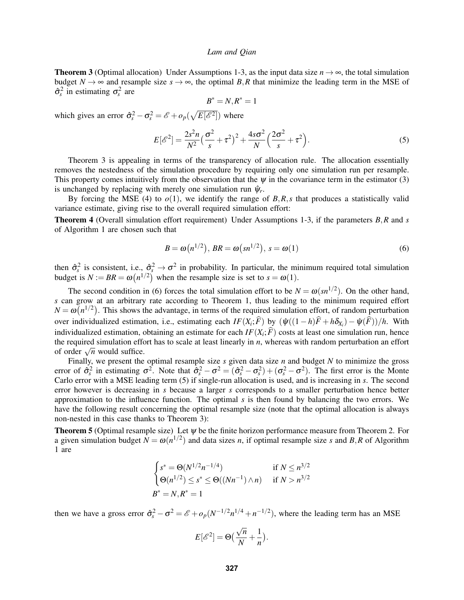<span id="page-7-0"></span>**Theorem 3** (Optimal allocation) Under Assumptions [1-](#page-5-1)[3,](#page-6-2) as the input data size  $n \to \infty$ , the total simulation budget  $N \to \infty$  and resample size  $s \to \infty$ , the optimal B,R that minimize the leading term in the MSE of  $\hat{\sigma}_s^2$  in estimating  $\sigma_s^2$  are

$$
B^*=N, R^*=1
$$

which gives an error  $\hat{\sigma}_s^2 - \sigma_s^2 = \mathscr{E} + o_p(\sqrt{E[\mathscr{E}^2]})$  where

<span id="page-7-2"></span>
$$
E[\mathscr{E}^2] = \frac{2s^2n}{N^2} \left(\frac{\sigma^2}{s} + \tau^2\right)^2 + \frac{4s\sigma^2}{N} \left(\frac{2\sigma^2}{s} + \tau^2\right).
$$
 (5)

Theorem [3](#page-7-0) is appealing in terms of the transparency of allocation rule. The allocation essentially removes the nestedness of the simulation procedure by requiring only one simulation run per resample. This property comes intuitively from the observation that the  $\psi$  in the covariance term in the estimator [\(3\)](#page-3-0) is unchanged by replacing with merely one simulation run  $\hat{\psi}_r$ .

By forcing the MSE [\(4\)](#page-6-3) to  $o(1)$ , we identify the range of  $B, R, s$  that produces a statistically valid variance estimate, giving rise to the overall required simulation effort:

<span id="page-7-4"></span>Theorem 4 (Overall simulation effort requirement) Under Assumptions [1](#page-5-1)[-3,](#page-6-2) if the parameters *B*,*R* and *s* of Algorithm [1](#page-5-0) are chosen such that

<span id="page-7-1"></span>
$$
B = \omega(n^{1/2}), BR = \omega(sn^{1/2}), s = \omega(1)
$$
\n<sup>(6)</sup>

then  $\hat{\sigma}_s^2$  is consistent, i.e.,  $\hat{\sigma}_s^2 \to \sigma^2$  in probability. In particular, the minimum required total simulation budget is  $N := BR = \omega(n^{1/2})$  when the resample size is set to  $s = \omega(1)$ .

The second condition in [\(6\)](#page-7-1) forces the total simulation effort to be  $N = \omega(\text{sn}^{1/2})$ . On the other hand, *s* can grow at an arbitrary rate according to Theorem [1,](#page-6-1) thus leading to the minimum required effort  $N = \omega(n^{1/2})$ . This shows the advantage, in terms of the required simulation effort, of random perturbation over individualized estimation, i.e., estimating each  $IF(X_i; F)$  by  $(\hat{\psi}((1-h)F + h\delta_{X_i}) - \hat{\psi}(F))/h$ . With individualized estimation, obtaining an estimate for each  $IF(X_i; F)$  costs at least one simulation run, hence the required simulation effort has to scale at least linearly in *n*, whereas with random perturbation an effort  $\frac{d}{dt}$  required simulation end of order  $\sqrt{n}$  would suffice.

Finally, we present the optimal resample size *s* given data size *n* and budget *N* to minimize the gross error of  $\hat{\sigma}_s^2$  in estimating  $\sigma^2$ . Note that  $\hat{\sigma}_s^2 - \sigma^2 = (\hat{\sigma}_s^2 - \sigma_s^2) + (\sigma_s^2 - \sigma^2)$ . The first error is the Monte Carlo error with a MSE leading term [\(5\)](#page-7-2) if single-run allocation is used, and is increasing in *s*. The second error however is decreasing in *s* because a larger *s* corresponds to a smaller perturbation hence better approximation to the influence function. The optimal *s* is then found by balancing the two errors. We have the following result concerning the optimal resample size (note that the optimal allocation is always non-nested in this case thanks to Theorem [3\)](#page-7-0):

<span id="page-7-3"></span>Theorem 5 (Optimal resample size) Let ψ be the finite horizon performance measure from Theorem [2.](#page-6-4) For a given simulation budget  $N = \omega(n^{1/2})$  and data sizes *n*, if optimal resample size *s* and *B*,*R* of Algorithm [1](#page-5-0) are

$$
\begin{cases}\ns^* = \Theta(N^{1/2}n^{-1/4}) & \text{if } N \le n^{3/2} \\
\Theta(n^{1/2}) \le s^* \le \Theta((Nn^{-1}) \land n) & \text{if } N > n^{3/2} \\
B^* = N, R^* = 1\n\end{cases}
$$

then we have a gross error  $\hat{\sigma}_s^2 - \sigma^2 = \mathscr{E} + o_p(N^{-1/2}n^{1/4} + n^{-1/2})$ , where the leading term has an MSE

$$
E[\mathscr{E}^2] = \Theta\left(\frac{\sqrt{n}}{N} + \frac{1}{n}\right).
$$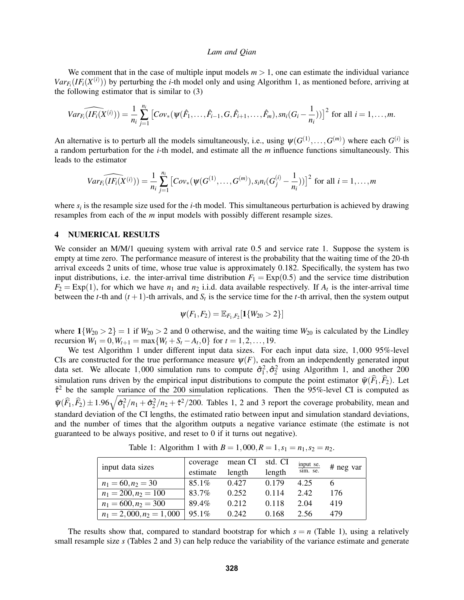We comment that in the case of multiple input models  $m > 1$ , one can estimate the individual variance  $Var_{F_i}(IF_i(X^{(i)}))$  by perturbing the *i*-th model only and using Algorithm [1,](#page-5-0) as mentioned before, arriving at the following estimator that is similar to [\(3\)](#page-3-0)

$$
Var_{F_i}(\widehat{IF_i(X^{(i)})}) = \frac{1}{n_i} \sum_{j=1}^{n_i} \left[ Cov_*(\psi(\hat{F}_1,\ldots,\hat{F}_{i-1},G,\hat{F}_{i+1},\ldots,\hat{F}_m),sn_i(G_i-\frac{1}{n_i})) \right]^2 \text{ for all } i=1,\ldots,m.
$$

An alternative is to perturb all the models simultaneously, i.e., using  $\psi(G^{(1)},...,G^{(m)})$  where each  $G^{(i)}$  is a random perturbation for the *i*-th model, and estimate all the *m* influence functions simultaneously. This leads to the estimator

$$
Var_{F_i}(\widehat{IF_i(X^{(i)})}) = \frac{1}{n_i} \sum_{j=1}^{n_i} \left[ Cov_*(\psi(G^{(1)},...,G^{(m)}), s_i n_i(G_j^{(i)} - \frac{1}{n_i})) \right]^2
$$
 for all  $i = 1,...,m$ 

where  $s_i$  is the resample size used for the *i*-th model. This simultaneous perturbation is achieved by drawing resamples from each of the *m* input models with possibly different resample sizes.

## 4 NUMERICAL RESULTS

We consider an M/M/1 queuing system with arrival rate 0.5 and service rate 1. Suppose the system is empty at time zero. The performance measure of interest is the probability that the waiting time of the 20-th arrival exceeds 2 units of time, whose true value is approximately 0.182. Specifically, the system has two input distributions, i.e. the inter-arrival time distribution  $F_1 = \text{Exp}(0.5)$  and the service time distribution  $F_2 = \text{Exp}(1)$ , for which we have  $n_1$  and  $n_2$  i.i.d. data available respectively. If  $A_t$  is the inter-arrival time between the *t*-th and  $(t + 1)$ -th arrivals, and  $S_t$  is the service time for the *t*-th arrival, then the system output

$$
\psi(F_1,F_2)=\mathbb{E}_{F_1,F_2}[\mathbf{1}\{W_{20}>2\}]
$$

where  $1{W_{20} > 2} = 1$  if  $W_{20} > 2$  and 0 otherwise, and the waiting time  $W_{20}$  is calculated by the Lindley recursion  $W_1 = 0, W_{t+1} = \max\{W_t + S_t - A_t, 0\}$  for  $t = 1, 2, ..., 19$ .

We test Algorithm [1](#page-5-0) under different input data sizes. For each input data size, 1,000 95%-level CIs are constructed for the true performance measure  $\psi(F)$ , each from an independently generated input data set. We allocate [1,](#page-5-0)000 simulation runs to compute  $\hat{\sigma}_1^2, \hat{\sigma}_2^2$  using Algorithm 1, and another 200 simulation runs driven by the empirical input distributions to compute the point estimator  $\bar{\psi}(\widehat{F}_1,\widehat{F}_2)$ . Let  $\hat{\tau}^2$  be the sample variance of the 200 simulation replications. Then the 95%-level CI is computed as  $\bar{\psi}(\widehat{F}_1,\widehat{F}_2) \pm 1.96\sqrt{\hat{\sigma}_1^2/n_1 + \hat{\sigma}_2^2/n_2 + \hat{\tau}^2/200}$  $\bar{\psi}(\widehat{F}_1,\widehat{F}_2) \pm 1.96\sqrt{\hat{\sigma}_1^2/n_1 + \hat{\sigma}_2^2/n_2 + \hat{\tau}^2/200}$  $\bar{\psi}(\widehat{F}_1,\widehat{F}_2) \pm 1.96\sqrt{\hat{\sigma}_1^2/n_1 + \hat{\sigma}_2^2/n_2 + \hat{\tau}^2/200}$  $\bar{\psi}(\widehat{F}_1,\widehat{F}_2) \pm 1.96\sqrt{\hat{\sigma}_1^2/n_1 + \hat{\sigma}_2^2/n_2 + \hat{\tau}^2/200}$  $\bar{\psi}(\widehat{F}_1,\widehat{F}_2) \pm 1.96\sqrt{\hat{\sigma}_1^2/n_1 + \hat{\sigma}_2^2/n_2 + \hat{\tau}^2/200}$ . Tables 1, 2 and [3](#page-9-1) report the coverage probability, mean and standard deviation of the CI lengths, the estimated ratio between input and simulation standard deviations, and the number of times that the algorithm outputs a negative variance estimate (the estimate is not guaranteed to be always positive, and reset to 0 if it turns out negative).

<span id="page-8-0"></span>Table [1](#page-5-0): Algorithm 1 with  $B = 1,000, R = 1, s_1 = n_1, s_2 = n_2$ .

| input data sizes           | coverage | mean CI | std. CI | $\frac{input \text{ se.}}{sim \text{ se.}}$ | $#$ neg var |
|----------------------------|----------|---------|---------|---------------------------------------------|-------------|
|                            | estimate | length  | length  |                                             |             |
| $n_1 = 60, n_2 = 30$       | $85.1\%$ | 0.427   | 0.179   | 4.25                                        |             |
| $n_1 = 200, n_2 = 100$     | 83.7%    | 0.252   | 0.114   | 2.42                                        | 176         |
| $n_1 = 600, n_2 = 300$     | 89.4%    | 0.212   | 0.118   | 2.04                                        | 419         |
| $n_1 = 2,000, n_2 = 1,000$ | $95.1\%$ | 0.242   | 0.168   | 2.56                                        | 479         |

The results show that, compared to standard bootstrap for which  $s = n$  (Table [1\)](#page-8-0), using a relatively small resample size *s* (Tables [2](#page-9-0) and [3\)](#page-9-1) can help reduce the variability of the variance estimate and generate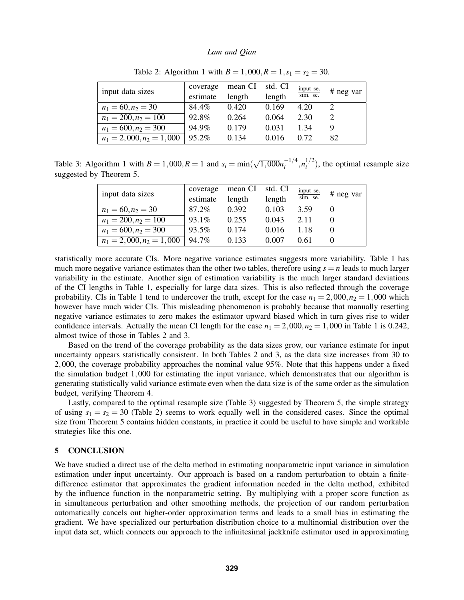| input data sizes           | coverage | mean CI | std. CI | input se.<br>sim. se. | # neg var |
|----------------------------|----------|---------|---------|-----------------------|-----------|
|                            | estimate | length  | length  |                       |           |
| $n_1 = 60, n_2 = 30$       | 84.4%    | 0.420   | 0.169   | 4.20                  |           |
| $n_1 = 200, n_2 = 100$     | 92.8%    | 0.264   | 0.064   | 2.30                  |           |
| $n_1 = 600, n_2 = 300$     | 94.9%    | 0.179   | 0.031   | 1 34                  |           |
| $n_1 = 2,000, n_2 = 1,000$ | $95.2\%$ | 0.134   | 0.016   | 0.72                  | 82        |

<span id="page-9-0"></span>Table 2: Algorithm [1](#page-5-0) with  $B = 1,000, R = 1, s_1 = s_2 = 30$ .

Table 3: Algorithm [1](#page-5-0) with  $B = 1,000, R = 1$  and  $s_i = \min($ √  $\overline{1,000}n_i^{-1/4}$  $\frac{-1}{i}$ ,  $n_i^{1/2}$  $i^{1/2}$ ), the optimal resample size suggested by Theorem [5.](#page-7-3)

<span id="page-9-1"></span>

| input data sizes           | coverage | mean CI | std. CI | input se.<br>sim. se. | # neg var |
|----------------------------|----------|---------|---------|-----------------------|-----------|
|                            | estimate | length  | length  |                       |           |
| $n_1 = 60, n_2 = 30$       | 87.2%    | 0.392   | 0.103   | 3.59                  |           |
| $n_1 = 200, n_2 = 100$     | $93.1\%$ | 0.255   | 0.043   | 2.11                  |           |
| $n_1 = 600, n_2 = 300$     | 93.5%    | 0.174   | 0.016   | 1.18                  |           |
| $n_1 = 2,000, n_2 = 1,000$ | 94.7%    | 0.133   | 0.007   | 0.61                  |           |

statistically more accurate CIs. More negative variance estimates suggests more variability. Table [1](#page-8-0) has much more negative variance estimates than the other two tables, therefore using  $s = n$  leads to much larger variability in the estimate. Another sign of estimation variability is the much larger standard deviations of the CI lengths in Table [1,](#page-8-0) especially for large data sizes. This is also reflected through the coverage probability. CIs in Table [1](#page-8-0) tend to undercover the truth, except for the case  $n_1 = 2,000, n_2 = 1,000$  which however have much wider CIs. This misleading phenomenon is probably because that manually resetting negative variance estimates to zero makes the estimator upward biased which in turn gives rise to wider confidence intervals. Actually the mean CI length for the case  $n_1 = 2,000, n_2 = 1,000$  $n_1 = 2,000, n_2 = 1,000$  $n_1 = 2,000, n_2 = 1,000$  in Table 1 is 0.242, almost twice of those in Tables [2](#page-9-0) and [3.](#page-9-1)

Based on the trend of the coverage probability as the data sizes grow, our variance estimate for input uncertainty appears statistically consistent. In both Tables [2](#page-9-0) and [3,](#page-9-1) as the data size increases from 30 to 2,000, the coverage probability approaches the nominal value 95%. Note that this happens under a fixed the simulation budget 1,000 for estimating the input variance, which demonstrates that our algorithm is generating statistically valid variance estimate even when the data size is of the same order as the simulation budget, verifying Theorem [4.](#page-7-4)

Lastly, compared to the optimal resample size (Table [3\)](#page-9-1) suggested by Theorem [5,](#page-7-3) the simple strategy of using  $s_1 = s_2 = 30$  (Table [2\)](#page-9-0) seems to work equally well in the considered cases. Since the optimal size from Theorem [5](#page-7-3) contains hidden constants, in practice it could be useful to have simple and workable strategies like this one.

## 5 CONCLUSION

We have studied a direct use of the delta method in estimating nonparametric input variance in simulation estimation under input uncertainty. Our approach is based on a random perturbation to obtain a finitedifference estimator that approximates the gradient information needed in the delta method, exhibited by the influence function in the nonparametric setting. By multiplying with a proper score function as in simultaneous perturbation and other smoothing methods, the projection of our random perturbation automatically cancels out higher-order approximation terms and leads to a small bias in estimating the gradient. We have specialized our perturbation distribution choice to a multinomial distribution over the input data set, which connects our approach to the infinitesimal jackknife estimator used in approximating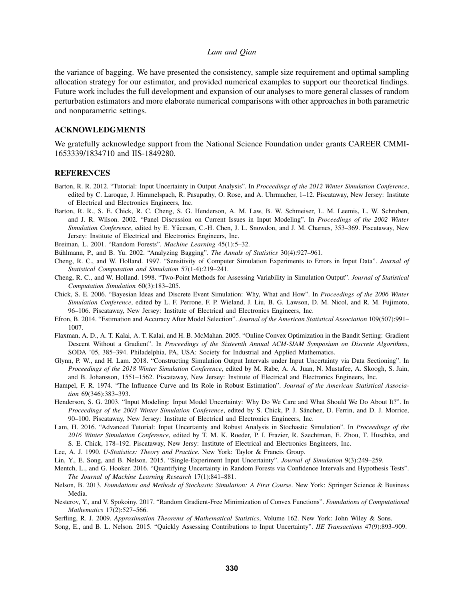the variance of bagging. We have presented the consistency, sample size requirement and optimal sampling allocation strategy for our estimator, and provided numerical examples to support our theoretical findings. Future work includes the full development and expansion of our analyses to more general classes of random perturbation estimators and more elaborate numerical comparisons with other approaches in both parametric and nonparametric settings.

## ACKNOWLEDGMENTS

We gratefully acknowledge support from the National Science Foundation under grants CAREER CMMI-1653339/1834710 and IIS-1849280.

### **REFERENCES**

- <span id="page-10-3"></span>Barton, R. R. 2012. "Tutorial: Input Uncertainty in Output Analysis". In *Proceedings of the 2012 Winter Simulation Conference*, edited by C. Laroque, J. Himmelspach, R. Pasupathy, O. Rose, and A. Uhrmacher, 1–12. Piscataway, New Jersey: Institute of Electrical and Electronics Engineers, Inc.
- <span id="page-10-0"></span>Barton, R. R., S. E. Chick, R. C. Cheng, S. G. Henderson, A. M. Law, B. W. Schmeiser, L. M. Leemis, L. W. Schruben, and J. R. Wilson. 2002. "Panel Discussion on Current Issues in Input Modeling". In *Proceedings of the 2002 Winter Simulation Conference*, edited by E. Yucesan, C.-H. Chen, J. L. Snowdon, and J. M. Charnes, 353–369. Piscataway, New ¨ Jersey: Institute of Electrical and Electronics Engineers, Inc.
- <span id="page-10-15"></span>Breiman, L. 2001. "Random Forests". *Machine Learning* 45(1):5–32.
- <span id="page-10-16"></span>Bühlmann, P., and B. Yu. 2002. "Analyzing Bagging". The Annals of Statistics 30(4):927-961.
- <span id="page-10-6"></span>Cheng, R. C., and W. Holland. 1997. "Sensitivity of Computer Simulation Experiments to Errors in Input Data". *Journal of Statistical Computation and Simulation* 57(1-4):219–241.
- <span id="page-10-8"></span>Cheng, R. C., and W. Holland. 1998. "Two-Point Methods for Assessing Variability in Simulation Output". *Journal of Statistical Computation Simulation* 60(3):183–205.
- <span id="page-10-2"></span>Chick, S. E. 2006. "Bayesian Ideas and Discrete Event Simulation: Why, What and How". In *Proceedings of the 2006 Winter Simulation Conference*, edited by L. F. Perrone, F. P. Wieland, J. Liu, B. G. Lawson, D. M. Nicol, and R. M. Fujimoto, 96–106. Piscataway, New Jersey: Institute of Electrical and Electronics Engineers, Inc.
- <span id="page-10-14"></span>Efron, B. 2014. "Estimation and Accuracy After Model Selection". *Journal of the American Statistical Association* 109(507):991– 1007.
- <span id="page-10-11"></span>Flaxman, A. D., A. T. Kalai, A. T. Kalai, and H. B. McMahan. 2005. "Online Convex Optimization in the Bandit Setting: Gradient Descent Without a Gradient". In *Proceedings of the Sixteenth Annual ACM-SIAM Symposium on Discrete Algorithms*, SODA '05, 385–394. Philadelphia, PA, USA: Society for Industrial and Applied Mathematics.
- <span id="page-10-13"></span>Glynn, P. W., and H. Lam. 2018. "Constructing Simulation Output Intervals under Input Uncertainty via Data Sectioning". In *Proceedings of the 2018 Winter Simulation Conference*, edited by M. Rabe, A. A. Juan, N. Mustafee, A. Skoogh, S. Jain, and B. Johansson, 1551–1562. Piscataway, New Jersey: Institute of Electrical and Electronics Engineers, Inc.
- <span id="page-10-12"></span>Hampel, F. R. 1974. "The Influence Curve and Its Role in Robust Estimation". *Journal of the American Statistical Association* 69(346):383–393.
- <span id="page-10-1"></span>Henderson, S. G. 2003. "Input Modeling: Input Model Uncertainty: Why Do We Care and What Should We Do About It?". In *Proceedings of the 2003 Winter Simulation Conference*, edited by S. Chick, P. J. Sanchez, D. Ferrin, and D. J. Morrice, ´ 90–100. Piscataway, New Jersey: Institute of Electrical and Electronics Engineers, Inc.
- <span id="page-10-4"></span>Lam, H. 2016. "Advanced Tutorial: Input Uncertainty and Robust Analysis in Stochastic Simulation". In *Proceedings of the 2016 Winter Simulation Conference*, edited by T. M. K. Roeder, P. I. Frazier, R. Szechtman, E. Zhou, T. Huschka, and S. E. Chick, 178–192. Piscataway, New Jersy: Institute of Electrical and Electronics Engineers, Inc.
- <span id="page-10-17"></span>Lee, A. J. 1990. *U-Statistics: Theory and Practice*. New York: Taylor & Francis Group.
- <span id="page-10-9"></span>Lin, Y., E. Song, and B. Nelson. 2015. "Single-Experiment Input Uncertainty". *Journal of Simulation* 9(3):249–259.
- <span id="page-10-19"></span>Mentch, L., and G. Hooker. 2016. "Quantifying Uncertainty in Random Forests via Confidence Intervals and Hypothesis Tests". *The Journal of Machine Learning Research* 17(1):841–881.
- <span id="page-10-5"></span>Nelson, B. 2013. *Foundations and Methods of Stochastic Simulation: A First Course*. New York: Springer Science & Business Media.
- <span id="page-10-10"></span>Nesterov, Y., and V. Spokoiny. 2017. "Random Gradient-Free Minimization of Convex Functions". *Foundations of Computational Mathematics* 17(2):527–566.

<span id="page-10-18"></span>Serfling, R. J. 2009. *Approximation Theorems of Mathematical Statistics*, Volume 162. New York: John Wiley & Sons.

<span id="page-10-7"></span>Song, E., and B. L. Nelson. 2015. "Quickly Assessing Contributions to Input Uncertainty". *IIE Transactions* 47(9):893–909.